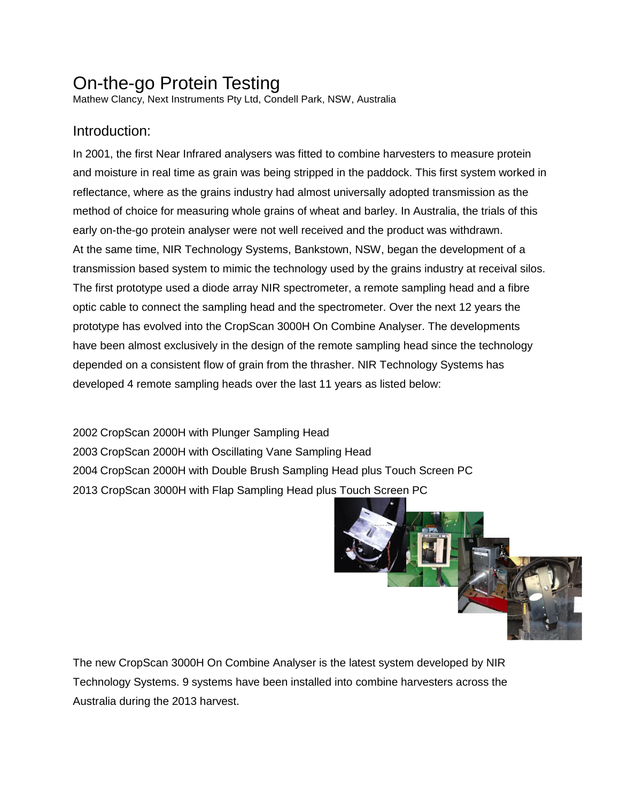# On-the-go Protein Testing

Mathew Clancy, Next Instruments Pty Ltd, Condell Park, NSW, Australia

## Introduction:

In 2001, the first Near Infrared analysers was fitted to combine harvesters to measure protein and moisture in real time as grain was being stripped in the paddock. This first system worked in reflectance, where as the grains industry had almost universally adopted transmission as the method of choice for measuring whole grains of wheat and barley. In Australia, the trials of this early on-the-go protein analyser were not well received and the product was withdrawn. At the same time, NIR Technology Systems, Bankstown, NSW, began the development of a transmission based system to mimic the technology used by the grains industry at receival silos. The first prototype used a diode array NIR spectrometer, a remote sampling head and a fibre optic cable to connect the sampling head and the spectrometer. Over the next 12 years the prototype has evolved into the CropScan 3000H On Combine Analyser. The developments have been almost exclusively in the design of the remote sampling head since the technology depended on a consistent flow of grain from the thrasher. NIR Technology Systems has developed 4 remote sampling heads over the last 11 years as listed below:

 CropScan 2000H with Plunger Sampling Head CropScan 2000H with Oscillating Vane Sampling Head CropScan 2000H with Double Brush Sampling Head plus Touch Screen PC 2013 CropScan 3000H with Flap Sampling Head plus Touch Screen PC



The new CropScan 3000H On Combine Analyser is the latest system developed by NIR Technology Systems. 9 systems have been installed into combine harvesters across the Australia during the 2013 harvest.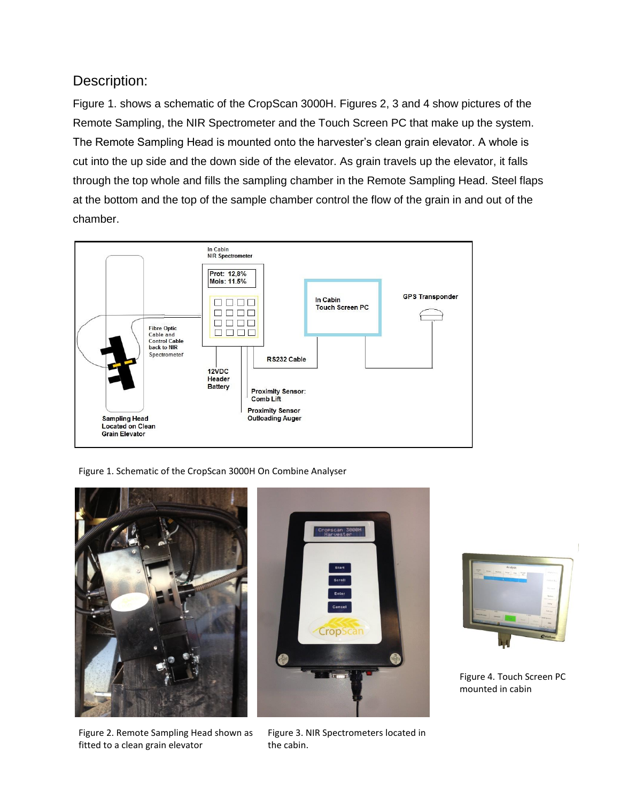#### Description:

Figure 1. shows a schematic of the CropScan 3000H. Figures 2, 3 and 4 show pictures of the Remote Sampling, the NIR Spectrometer and the Touch Screen PC that make up the system. The Remote Sampling Head is mounted onto the harvester's clean grain elevator. A whole is cut into the up side and the down side of the elevator. As grain travels up the elevator, it falls through the top whole and fills the sampling chamber in the Remote Sampling Head. Steel flaps at the bottom and the top of the sample chamber control the flow of the grain in and out of the chamber.



Figure 1. Schematic of the CropScan 3000H On Combine Analyser



Figure 2. Remote Sampling Head shown as fitted to a clean grain elevator



Figure 3. NIR Spectrometers located in the cabin.



Figure 4. Touch Screen PC mounted in cabin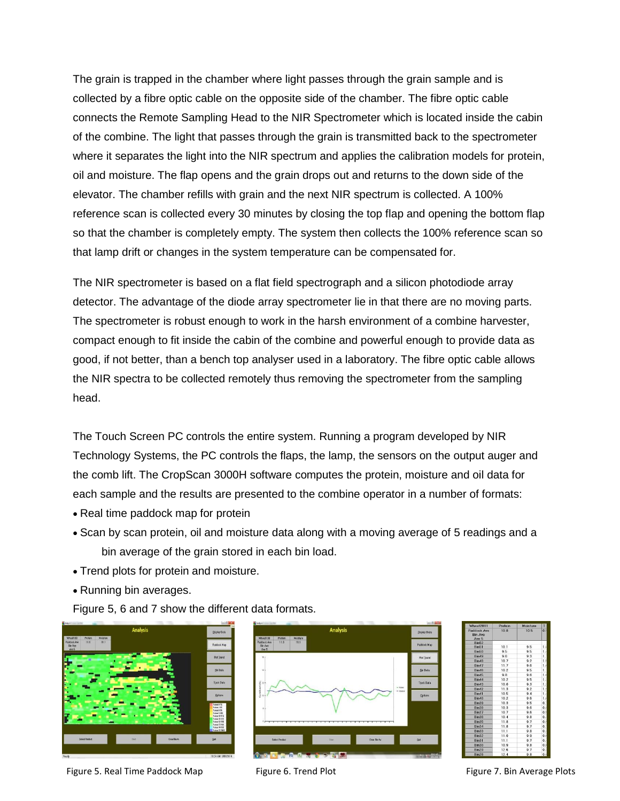The grain is trapped in the chamber where light passes through the grain sample and is collected by a fibre optic cable on the opposite side of the chamber. The fibre optic cable connects the Remote Sampling Head to the NIR Spectrometer which is located inside the cabin of the combine. The light that passes through the grain is transmitted back to the spectrometer where it separates the light into the NIR spectrum and applies the calibration models for protein, oil and moisture. The flap opens and the grain drops out and returns to the down side of the elevator. The chamber refills with grain and the next NIR spectrum is collected. A 100% reference scan is collected every 30 minutes by closing the top flap and opening the bottom flap so that the chamber is completely empty. The system then collects the 100% reference scan so that lamp drift or changes in the system temperature can be compensated for.

The NIR spectrometer is based on a flat field spectrograph and a silicon photodiode array detector. The advantage of the diode array spectrometer lie in that there are no moving parts. The spectrometer is robust enough to work in the harsh environment of a combine harvester, compact enough to fit inside the cabin of the combine and powerful enough to provide data as good, if not better, than a bench top analyser used in a laboratory. The fibre optic cable allows the NIR spectra to be collected remotely thus removing the spectrometer from the sampling head.

The Touch Screen PC controls the entire system. Running a program developed by NIR Technology Systems, the PC controls the flaps, the lamp, the sensors on the output auger and the comb lift. The CropScan 3000H software computes the protein, moisture and oil data for each sample and the results are presented to the combine operator in a number of formats:

- Real time paddock map for protein
- Scan by scan protein, oil and moisture data along with a moving average of 5 readings and a bin average of the grain stored in each bin load.
- Trend plots for protein and moisture.
- Running bin averages.

Figure 5, 6 and 7 show the different data formats.



Figure 5. Real Time Paddock Map Figure 6. Trend Plot Figure 7. Bin Average Plots



| Wheat2011                              | Protein | Moisture | T                |
|----------------------------------------|---------|----------|------------------|
| Paddock Ave<br><b>Bin Ave</b><br>Ave 5 | 108     | 105      | 0.5              |
| Bin52                                  |         |          |                  |
| Bin51                                  | 10.1    | 9.5      | 1.1              |
| Bin50                                  | 9.5     | 9.5      | 1.               |
| <b>Bin49</b>                           | 96      | 93       | 1.               |
| <b>Bin48</b>                           | 10.7    | 9.2      | 11               |
| Bin47                                  | 11.7    | 9.6      | 13               |
| Bin46                                  | 10.2    | 95       | $\mathbf{1}$     |
| Rin45                                  | 8R      | 96       | 11               |
| Bin44                                  | 10.2    | 9.5      | 1:               |
| Bin43                                  | 100     | 93       | 1:               |
| <b>Bin42</b>                           | 11.3    | 9.2      | 1.1              |
| Bin41                                  | 10.5    | 9.4      | 1.5              |
| <b>Bin40</b>                           | 10.2    | 9.6      | 1.1              |
| <b>Bin39</b>                           | 10.3    | 95       | $0^{\circ}$      |
| Bin38                                  | 10.3    | 96       | 0:               |
| Bin37                                  | 10.7    | 96       | 0.1              |
| Bin36                                  | 10.4    | 9.8      | 0.5              |
| Bin35                                  | 11.8    | 97       | 0.5              |
| Bin34                                  | 11.8    | 97       | $\mathbf{0}$     |
| <b>Bin33</b>                           | 11.1    | 9.8      | 0:               |
| Bin32                                  | 11.0    | 9.9      | 0.1              |
| Bin31                                  | 11.1    | 97       | $\overline{0}$ . |
| Bin30                                  | 10.9    | 9B       | 0.1              |
| <b>Bin29</b>                           | 126     | 97       | 0:               |
| Bin28                                  | 12.4    | 9.8      | 0.1              |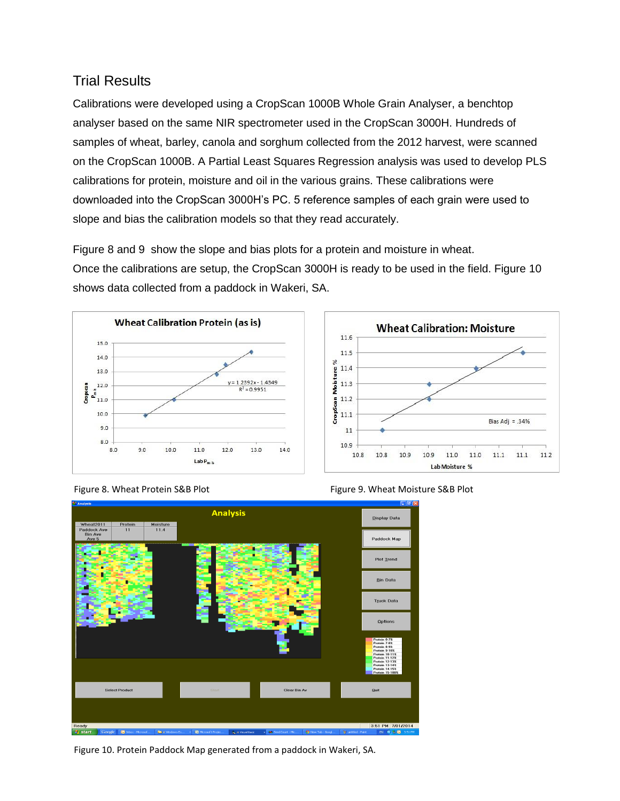## Trial Results

Calibrations were developed using a CropScan 1000B Whole Grain Analyser, a benchtop analyser based on the same NIR spectrometer used in the CropScan 3000H. Hundreds of samples of wheat, barley, canola and sorghum collected from the 2012 harvest, were scanned on the CropScan 1000B. A Partial Least Squares Regression analysis was used to develop PLS calibrations for protein, moisture and oil in the various grains. These calibrations were downloaded into the CropScan 3000H's PC. 5 reference samples of each grain were used to slope and bias the calibration models so that they read accurately.

Figure 8 and 9 show the slope and bias plots for a protein and moisture in wheat. Once the calibrations are setup, the CropScan 3000H is ready to be used in the field. Figure 10 shows data collected from a paddock in Wakeri, SA.







Figure 8. Wheat Protein S&B Plot Figure 9. Wheat Moisture S&B Plot



Figure 10. Protein Paddock Map generated from a paddock in Wakeri, SA.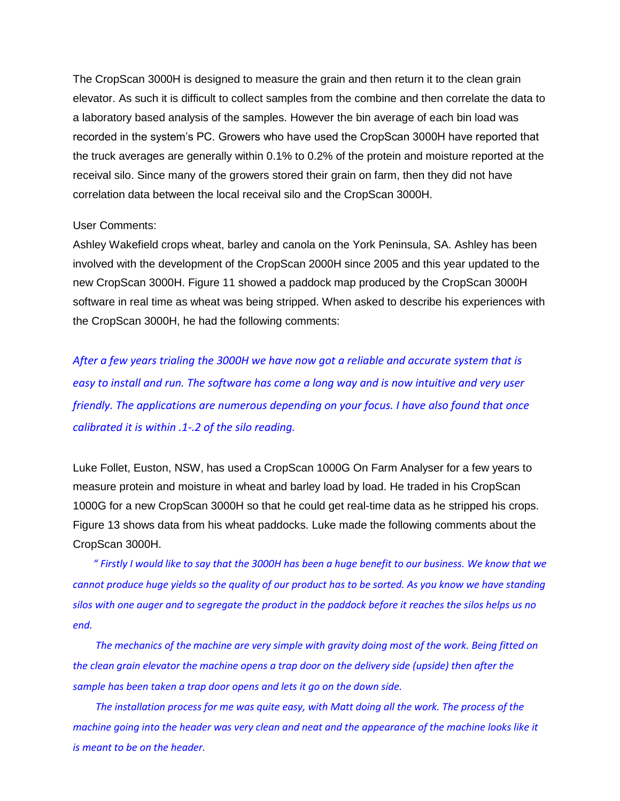The CropScan 3000H is designed to measure the grain and then return it to the clean grain elevator. As such it is difficult to collect samples from the combine and then correlate the data to a laboratory based analysis of the samples. However the bin average of each bin load was recorded in the system's PC. Growers who have used the CropScan 3000H have reported that the truck averages are generally within 0.1% to 0.2% of the protein and moisture reported at the receival silo. Since many of the growers stored their grain on farm, then they did not have correlation data between the local receival silo and the CropScan 3000H.

#### User Comments:

Ashley Wakefield crops wheat, barley and canola on the York Peninsula, SA. Ashley has been involved with the development of the CropScan 2000H since 2005 and this year updated to the new CropScan 3000H. Figure 11 showed a paddock map produced by the CropScan 3000H software in real time as wheat was being stripped. When asked to describe his experiences with the CropScan 3000H, he had the following comments:

*After a few years trialing the 3000H we have now got a reliable and accurate system that is easy to install and run. The software has come a long way and is now intuitive and very user friendly. The applications are numerous depending on your focus. I have also found that once calibrated it is within .1-.2 of the silo reading.*

Luke Follet, Euston, NSW, has used a CropScan 1000G On Farm Analyser for a few years to measure protein and moisture in wheat and barley load by load. He traded in his CropScan 1000G for a new CropScan 3000H so that he could get real-time data as he stripped his crops. Figure 13 shows data from his wheat paddocks. Luke made the following comments about the CropScan 3000H.

*" Firstly I would like to say that the 3000H has been a huge benefit to our business. We know that we cannot produce huge yields so the quality of our product has to be sorted. As you know we have standing silos with one auger and to segregate the product in the paddock before it reaches the silos helps us no end.*

*The mechanics of the machine are very simple with gravity doing most of the work. Being fitted on the clean grain elevator the machine opens a trap door on the delivery side (upside) then after the sample has been taken a trap door opens and lets it go on the down side.*

*The installation process for me was quite easy, with Matt doing all the work. The process of the machine going into the header was very clean and neat and the appearance of the machine looks like it is meant to be on the header.*